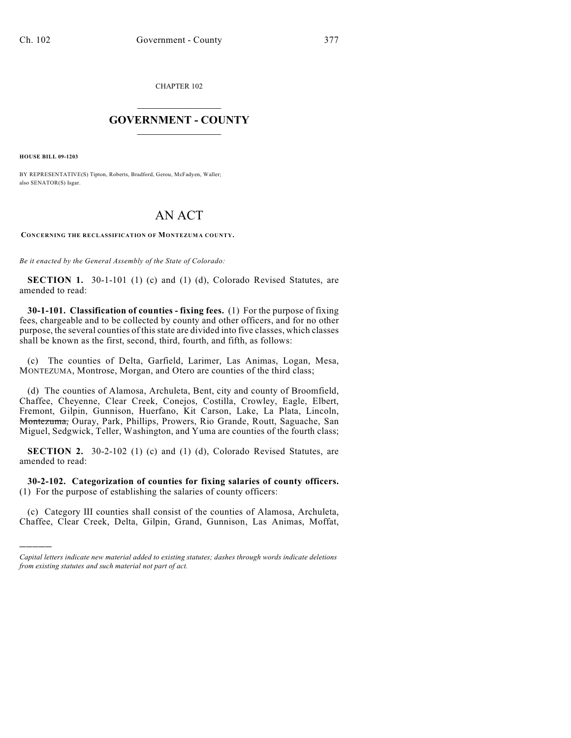CHAPTER 102

## $\mathcal{L}_\text{max}$  . The set of the set of the set of the set of the set of the set of the set of the set of the set of the set of the set of the set of the set of the set of the set of the set of the set of the set of the set **GOVERNMENT - COUNTY**  $\_$

**HOUSE BILL 09-1203**

)))))

BY REPRESENTATIVE(S) Tipton, Roberts, Bradford, Gerou, McFadyen, Waller; also SENATOR(S) Isgar.

## AN ACT

**CONCERNING THE RECLASSIFICATION OF MONTEZUMA COUNTY.**

*Be it enacted by the General Assembly of the State of Colorado:*

**SECTION 1.** 30-1-101 (1) (c) and (1) (d), Colorado Revised Statutes, are amended to read:

**30-1-101. Classification of counties - fixing fees.** (1) For the purpose of fixing fees, chargeable and to be collected by county and other officers, and for no other purpose, the several counties of this state are divided into five classes, which classes shall be known as the first, second, third, fourth, and fifth, as follows:

(c) The counties of Delta, Garfield, Larimer, Las Animas, Logan, Mesa, MONTEZUMA, Montrose, Morgan, and Otero are counties of the third class;

(d) The counties of Alamosa, Archuleta, Bent, city and county of Broomfield, Chaffee, Cheyenne, Clear Creek, Conejos, Costilla, Crowley, Eagle, Elbert, Fremont, Gilpin, Gunnison, Huerfano, Kit Carson, Lake, La Plata, Lincoln, Montezuma, Ouray, Park, Phillips, Prowers, Rio Grande, Routt, Saguache, San Miguel, Sedgwick, Teller, Washington, and Yuma are counties of the fourth class;

**SECTION 2.** 30-2-102 (1) (c) and (1) (d), Colorado Revised Statutes, are amended to read:

**30-2-102. Categorization of counties for fixing salaries of county officers.** (1) For the purpose of establishing the salaries of county officers:

(c) Category III counties shall consist of the counties of Alamosa, Archuleta, Chaffee, Clear Creek, Delta, Gilpin, Grand, Gunnison, Las Animas, Moffat,

*Capital letters indicate new material added to existing statutes; dashes through words indicate deletions from existing statutes and such material not part of act.*